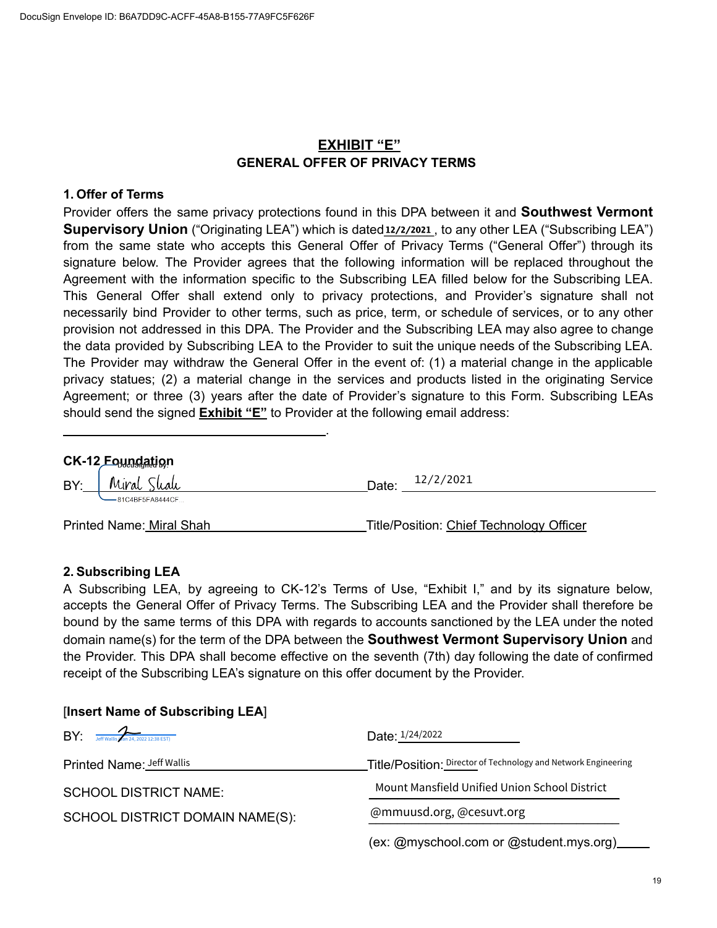### **EXHIBIT "E" GENERAL OFFER OF PRIVACY TERMS**

#### **1. Offer of Terms**

Provider offers the same privacy protections found in this DPA between it and **Southwest Vermont Supervisory Union** ("Originating LEA") which is dated<sup>12/2/2021</sup>, to any other LEA ("Subscribing LEA") from the same state who accepts this General Offer of Privacy Terms ("General Offer") through its signature below. The Provider agrees that the following information will be replaced throughout the Agreement with the information specific to the Subscribing LEA filled below for the Subscribing LEA. This General Offer shall extend only to privacy protections, and Provider's signature shall not necessarily bind Provider to other terms, such as price, term, or schedule of services, or to any other provision not addressed in this DPA. The Provider and the Subscribing LEA may also agree to change the data provided by Subscribing LEA to the Provider to suit the unique needs of the Subscribing LEA. The Provider may withdraw the General Offer in the event of: (1) a material change in the applicable privacy statues; (2) a material change in the services and products listed in the originating Service Agreement; or three (3) years after the date of Provider's signature to this Form. Subscribing LEAs should send the signed **Exhibit "E"** to Provider at the following email address:

| CK-12 Equinglation |                                      |       |                                          |  |
|--------------------|--------------------------------------|-------|------------------------------------------|--|
|                    | $BY:$ Miral Shah<br>-81C4BF5FA8444CF | Date: | 12/2/2021                                |  |
|                    | Printed Name: Miral Shah             |       | Title/Position: Chief Technology Officer |  |

.

#### **2. Subscribing LEA**

A Subscribing LEA, by agreeing to CK-12's Terms of Use, "Exhibit I," and by its signature below, accepts the General Offer of Privacy Terms. The Subscribing LEA and the Provider shall therefore be bound by the same terms of this DPA with regards to accounts sanctioned by the LEA under the noted domain name(s) for the term of the DPA between the **Southwest Vermont Supervisory Union** and the Provider. This DPA shall become effective on the seventh (7th) day following the date of confirmed receipt of the Subscribing LEA's signature on this offer document by the Provider.

| $\mathsf{BY}$ : Jeff Wallis 2 an 24, 2022 12:38 EST) | Date: 1/24/2022                                                |  |
|------------------------------------------------------|----------------------------------------------------------------|--|
| Printed Name: Jeff Wallis                            | Title/Position: Director of Technology and Network Engineering |  |
| <b>SCHOOL DISTRICT NAME:</b>                         | Mount Mansfield Unified Union School District                  |  |
| SCHOOL DISTRICT DOMAIN NAME(S):                      | @mmuusd.org, @cesuvt.org                                       |  |
|                                                      | (ex: @myschool.com or @student.mys.org)                        |  |

#### [**Insert Name of Subscribing LEA**]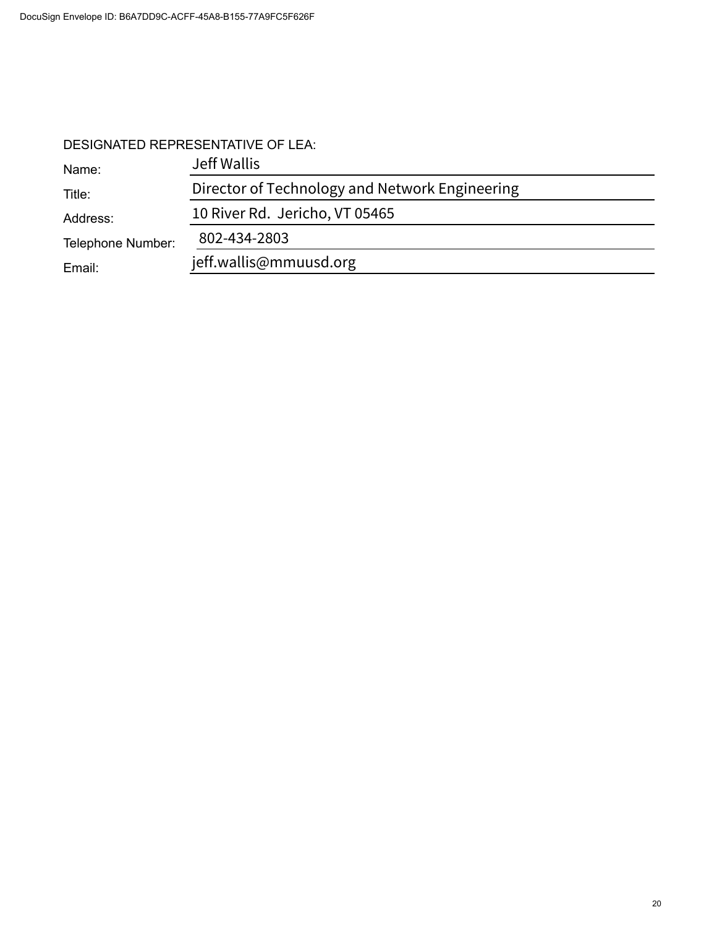## DESIGNATED REPRESENTATIVE OF LEA:

| Name:             | Jeff Wallis                                    |  |  |
|-------------------|------------------------------------------------|--|--|
| Title:            | Director of Technology and Network Engineering |  |  |
| Address:          | 10 River Rd. Jericho, VT 05465                 |  |  |
| Telephone Number: | 802-434-2803                                   |  |  |
| Email:            | jeff.wallis@mmuusd.org                         |  |  |